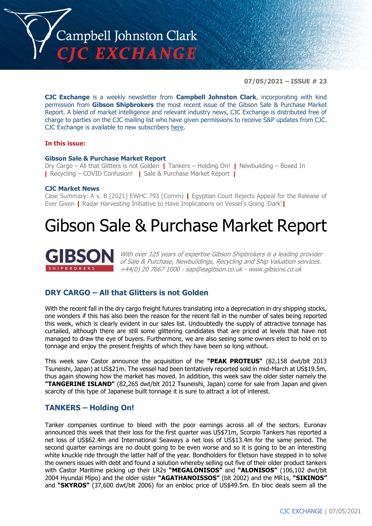

**07/05/2021 – ISSUE # 23**

**CJC Exchange** is a weekly newsletter from **Campbell Johnston Clark**, incorporating with kind permission from **Gibson Shipbrokers** the most recent issue of the Gibson Sale & Purchase Market Report. A blend of market intelligence and relevant industry news, CJC Exchange is distributed free of charge to parties on the CJC mailing list who have given permissions to receive S&P updates from CJC. CJC Exchange is available to new subscribers [here.](mailto:jamesc@cjclaw.com?subject=CJC%20Exchange%20sign-up)

#### **In this issue:**

#### **Gibson Sale & Purchase Market Report**

Dry Cargo – All that Glitters is not Golden **|** Tankers – Holding On! **|** Newbuilding – Boxed In **|** Recycling – COVID Confusion! **|** Sale & Purchase Market Report **|**

#### **CJC Market News**

Case Summary: A v. B [2021] EWHC 793 (Comm) **|** Egyptian Court Rejects Appeal for the Release of Ever Given **|** Radar Harvesting Initiative to Have Implications on Vessel's Going 'Dark'**|**

# Gibson Sale & Purchase Market Report



With over 125 years of expertise Gibson Shipbrokers is a leading provider of Sale & Purchase, Newbuildings, Recycling and Ship Valuation services. +44(0) 20 7667 1000 - [sap@eagibson.co.uk](mailto:sap@eagibson.co.uk) - [www.gibsons.co.uk](https://protect-eu.mimecast.com/s/VO6nCGZzRS60KqcK1jQh/)

# **DRY CARGO – All that Glitters is not Golden**

With the recent fall in the dry cargo freight futures translating into a depreciation in dry shipping stocks, one wonders if this has also been the reason for the recent fall in the number of sales being reported this week, which is clearly evident in our sales list. Undoubtedly the supply of attractive tonnage has curtailed, although there are still some glittering candidates that are priced at levels that have not managed to draw the eye of buyers. Furthermore, we are also seeing some owners elect to hold on to tonnage and enjoy the present freights of which they have been so long without.

This week saw Castor announce the acquisition of the **"PEAK PROTEUS"** (82,158 dwt/blt 2013 Tsuneishi, Japan) at US\$21m. The vessel had been tentatively reported sold in mid-March at US\$19.5m, thus again showing how the market has moved. In addition, this week saw the older sister namely the **"TANGERINE ISLAND"** (82,265 dwt/blt 2012 Tsuneishi, Japan) come for sale from Japan and given scarcity of this type of Japanese built tonnage it is sure to attract a lot of interest.

## **TANKERS – Holding On!**

Tanker companies continue to bleed with the poor earnings across all of the sectors. Euronav announced this week that their loss for the first quarter was US\$71m, Scorpio Tankers has reported a net loss of US\$62.4m and International Seaways a net loss of US\$13.4m for the same period. The second quarter earnings are no doubt going to be even worse and so it is going to be an interesting white knuckle ride through the latter half of the year. Bondholders for Eletson have stepped in to solve the owners issues with debt and found a solution whereby selling out five of their older product tankers with Castor Maritime picking up their LR2s **"MEGALONISOS"** and **"ALONISOS"** (106,102 dwt/blt 2004 Hyundai Mipo) and the older sister **"AGATHANOISSOS"** (blt 2002) and the MR1s, **"SIKINOS"** and **"SKYROS"** (37,600 dwt/blt 2006) for an enbloc price of US\$49.5m. En bloc deals seem all the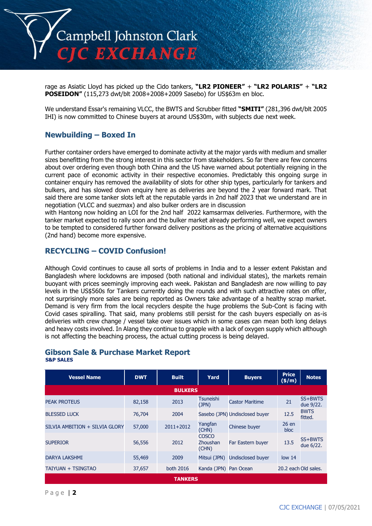

rage as Asiatic Lloyd has picked up the Cido tankers, **"LR2 PIONEER"** + **"LR2 POLARIS"** + **"LR2 POSEIDON"** (115,273 dwt/blt 2008+2008+2009 Sasebo) for US\$63m en bloc.

We understand Essar's remaining VLCC, the BWTS and Scrubber fitted **"SMITI"** (281,396 dwt/blt 2005 IHI) is now committed to Chinese buyers at around US\$30m, with subjects due next week.

# **Newbuilding – Boxed In**

Further container orders have emerged to dominate activity at the major yards with medium and smaller sizes benefitting from the strong interest in this sector from stakeholders. So far there are few concerns about over ordering even though both China and the US have warned about potentially reigning in the current pace of economic activity in their respective economies. Predictably this ongoing surge in container enquiry has removed the availability of slots for other ship types, particularly for tankers and bulkers, and has slowed down enquiry here as deliveries are beyond the 2 year forward mark. That said there are some tanker slots left at the reputable yards in 2nd half 2023 that we understand are in negotiation (VLCC and suezmax) and also bulker orders are in discussion

with Hantong now holding an LOI for the 2nd half 2022 kamsarmax deliveries. Furthermore, with the tanker market expected to rally soon and the bulker market already performing well, we expect owners to be tempted to considered further forward delivery positions as the pricing of alternative acquisitions (2nd hand) become more expensive.

# **RECYCLING – COVID Confusion!**

Although Covid continues to cause all sorts of problems in India and to a lesser extent Pakistan and Bangladesh where lockdowns are imposed (both national and individual states), the markets remain buoyant with prices seemingly improving each week. Pakistan and Bangladesh are now willing to pay levels in the US\$560s for Tankers currently doing the rounds and with such attractive rates on offer, not surprisingly more sales are being reported as Owners take advantage of a healthy scrap market. Demand is very firm from the local recyclers despite the huge problems the Sub-Cont is facing with Covid cases spiralling. That said, many problems still persist for the cash buyers especially on as-is deliveries with crew change / vessel take over issues which in some cases can mean both long delays and heavy costs involved. In Alang they continue to grapple with a lack of oxygen supply which although is not affecting the beaching process, the actual cutting process is being delayed.

### **Gibson Sale & Purchase Market Report S&P SALES**

| <b>Vessel Name</b>             | <b>DWT</b> | <b>Built</b>   | Yard                              | <b>Buyers</b>                  | <b>Price</b><br>(\$/m) | <b>Notes</b>           |
|--------------------------------|------------|----------------|-----------------------------------|--------------------------------|------------------------|------------------------|
|                                |            | <b>BULKERS</b> |                                   |                                |                        |                        |
| <b>PEAK PROTEUS</b>            | 82,158     | 2013           | <b>Tsuneishi</b><br>(JPN)         | <b>Castor Maritime</b>         | 21                     | SS+BWTS<br>due 9/22.   |
| <b>BLESSED LUCK</b>            | 76,704     | 2004           |                                   | Sasebo (JPN) Undisclosed buyer | 12.5                   | <b>BWTS</b><br>fitted. |
| SILVIA AMBITION + SILVIA GLORY | 57,000     | $2011+2012$    | Yangfan<br>(CHN)                  | Chinese buyer                  | 26en<br>bloc.          |                        |
| <b>SUPERIOR</b>                | 56,556     | 2012           | COSCO<br><b>Zhoushan</b><br>(CHN) | Far Eastern buyer              | 13.5                   | SS+BWTS<br>due 6/22.   |
| DARYA LAKSHMI                  | 55,469     | 2009           | Mitsui (JPN)                      | <b>Undisclosed buyer</b>       | low <sub>14</sub>      |                        |
| TAIYUAN + TSINGTAO             | 37,657     | both 2016      | Kanda (JPN) Pan Ocean             |                                | 20.2 each Old sales.   |                        |
| <b>TANKERS</b>                 |            |                |                                   |                                |                        |                        |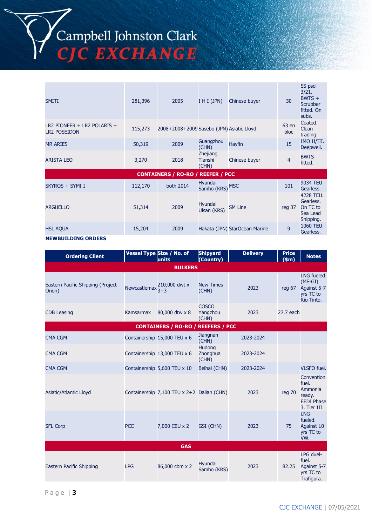Campbell Johnston Clark<br>CJC EXCHANGE

| <b>SMITI</b>                                         | 281,396 | 2005                                      | $I$ H I (JPN)                              | Chinese buyer                 | 30             | SS psd<br>3/21.<br>$BWTS +$<br>Scrubber<br>fitted, On<br>subs. |
|------------------------------------------------------|---------|-------------------------------------------|--------------------------------------------|-------------------------------|----------------|----------------------------------------------------------------|
| $LR2$ PIONEER + LR2 POLARIS +<br><b>LR2 POSEIDON</b> | 115,273 | 2008+2008+2009 Sasebo (JPN) Asiatic Lloyd |                                            |                               | 63 en<br>bloc  | Coated.<br>Clean<br>trading.                                   |
| <b>MR ARIES</b>                                      | 50,319  | 2009                                      | Guangzhou<br>(CHN)                         | Hayfin                        | 15             | IMO II/III.<br>Deepwell.                                       |
| <b>ARISTA LEO</b>                                    | 3,270   | 2018                                      | <b>Zhejiang</b><br><b>Tianshi</b><br>(CHN) | Chinese buyer                 | $\overline{4}$ | <b>BWTS</b><br>fitted.                                         |
|                                                      |         | <b>CONTAINERS / RO-RO / REEFER / PCC</b>  |                                            |                               |                |                                                                |
| SKYROS + SYMI I                                      | 112,170 | both 2014                                 | Hyundai<br>Samho (KRS) MSC                 |                               | 101            | 9034 TEU.<br>Gearless.                                         |
| <b>ARGUELLO</b>                                      | 51,314  | 2009                                      | Hyundai<br>Ulsan (KRS)                     | <b>SM Line</b>                | reg 37         | 4228 TEU.<br>Gearless.<br>On TC to<br>Sea Lead<br>Shipping.    |
| <b>HSL AQUA</b>                                      | 15,204  | 2009                                      |                                            | Hakata (JPN) StarOcean Marine | 9              | 1060 TEU.<br>Gearless.                                         |

#### **NEWBUILDING ORDERS**

| <b>Ordering Client</b>                      |                              | Vessel Type Size / No. of<br>units         | <b>Shipyard</b><br>(Country)       | <b>Delivery</b> | <b>Price</b><br>\$m\$ | <b>Notes</b>                                                                  |  |
|---------------------------------------------|------------------------------|--------------------------------------------|------------------------------------|-----------------|-----------------------|-------------------------------------------------------------------------------|--|
|                                             |                              | <b>BULKERS</b>                             |                                    |                 |                       |                                                                               |  |
| Eastern Pacific Shipping (Project<br>Orion) | Newcastlemax $\frac{2}{3+3}$ | 210,000 dwt x                              | <b>New Times</b><br>(CHN)          | 2023            | reg $67$              | <b>LNG fueled</b><br>$(ME-GI).$<br>Against 5-7<br>yrs TC to<br>Rio Tinto.     |  |
| <b>CDB</b> Leasing                          | Kamsarmax                    | 80,000 dtw x 8                             | <b>COSCO</b><br>Yangzhou<br>(CHN)  | 2023            | 27.7 each             |                                                                               |  |
|                                             |                              | <b>CONTAINERS / RO-RO / REEFERS / PCC</b>  |                                    |                 |                       |                                                                               |  |
| <b>CMA CGM</b>                              |                              | Containership 15,000 TEU x 6               | Jiangnan<br>(CHN)                  | 2023-2024       |                       |                                                                               |  |
| <b>CMA CGM</b>                              |                              | Containership 13,000 TEU x 6               | <b>Hudong</b><br>Zhonghua<br>(CHN) | 2023-2024       |                       |                                                                               |  |
| <b>CMA CGM</b>                              |                              | Containership 5,600 TEU x 10               | Beihai (CHN)                       | 2023-2024       |                       | <b>VLSFO</b> fuel.                                                            |  |
| Asiatic/Atlantic Lloyd                      |                              | Containership 7,100 TEU x 2+2 Dalian (CHN) |                                    | 2023            | reg 70                | Convention<br>fuel.<br>Ammonia<br>ready.<br><b>EEDI Phase</b><br>3. Tier III. |  |
| <b>SFL Corp</b>                             | <b>PCC</b>                   | 7,000 CEU x 2                              | GSI (CHN)                          | 2023            | 75                    | <b>LNG</b><br>fueled.<br>Against 10<br>yrs TC to<br>VW.                       |  |
|                                             | <b>GAS</b>                   |                                            |                                    |                 |                       |                                                                               |  |
| Eastern Pacific Shipping                    | <b>LPG</b>                   | 86,000 cbm x 2                             | Hyundai<br>Samho (KRS)             | 2023            | 82.25                 | LPG duel-<br>fuel.<br>Against 5-7<br>yrs TC to<br>Trafigura.                  |  |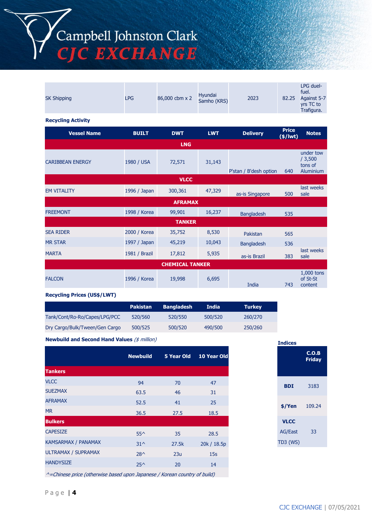

| <b>SK Shipping</b>                                                                                                                         | <b>LPG</b>    | 86,000 cbm x 2         | Hyundai<br>Samho (KRS) | 2023                   | 82.25                         | LPG duel-<br>fuel.<br>Against 5-7<br>yrs TC to<br>Trafigura. |
|--------------------------------------------------------------------------------------------------------------------------------------------|---------------|------------------------|------------------------|------------------------|-------------------------------|--------------------------------------------------------------|
| <b>Recycling Activity</b>                                                                                                                  |               |                        |                        |                        |                               |                                                              |
| <b>Vessel Name</b>                                                                                                                         | <b>BUILT</b>  | <b>DWT</b>             | <b>LWT</b>             | <b>Delivery</b>        | <b>Price</b><br>$($/$ lwt $)$ | <b>Notes</b>                                                 |
|                                                                                                                                            |               | <b>LNG</b>             |                        |                        |                               |                                                              |
| <b>CARIBBEAN ENERGY</b>                                                                                                                    | 1980 / USA    | 72,571                 | 31,143                 | P'stan / B'desh option | 640                           | under tow<br>/3,500<br>tons of<br>Aluminium                  |
|                                                                                                                                            |               | <b>VLCC</b>            |                        |                        |                               |                                                              |
| <b>EM VITALITY</b>                                                                                                                         | 1996 / Japan  | 300,361                | 47,329                 | as-is Singapore        | 500                           | last weeks<br>sale                                           |
|                                                                                                                                            |               | <b>AFRAMAX</b>         |                        |                        |                               |                                                              |
| <b>FREEMONT</b>                                                                                                                            | 1998 / Korea  | 99,901                 | 16,237                 | <b>Bangladesh</b>      | 535                           |                                                              |
|                                                                                                                                            |               | <b>TANKER</b>          |                        |                        |                               |                                                              |
| <b>SEA RIDER</b>                                                                                                                           | 2000 / Korea  | 35,752                 | 8,530                  | Pakistan               | 565                           |                                                              |
| <b>MR STAR</b>                                                                                                                             | 1997 / Japan  | 45,219                 | 10,043                 | <b>Bangladesh</b>      | 536                           |                                                              |
| <b>MARTA</b>                                                                                                                               | 1981 / Brazil | 17,812                 | 5,935                  | as-is Brazil           | 383                           | last weeks<br>sale                                           |
|                                                                                                                                            |               | <b>CHEMICAL TANKER</b> |                        |                        |                               |                                                              |
| <b>FALCON</b>                                                                                                                              | 1996 / Korea  | 19,998                 | 6,695                  | India                  | 743                           | 1,000 tons<br>of St-St<br>content                            |
| $\mathbf{r} = \mathbf{r} \mathbf{r} + \mathbf{r} \mathbf{r}$ , $\mathbf{r} = \mathbf{r} \mathbf{r}$ , $\mathbf{r} = \mathbf{r} \mathbf{r}$ |               |                        |                        |                        |                               |                                                              |

#### **Recycling Prices (US\$/LWT)**

|                                | <b>Pakistan</b> | <b>Bangladesh</b> | <b>India</b> | <b>Turkey</b> |
|--------------------------------|-----------------|-------------------|--------------|---------------|
| Tank/Cont/Ro-Ro/Capes/LPG/PCC  | 520/560         | 520/550           | 500/520      | 260/270       |
| Dry Cargo/Bulk/Tween/Gen Cargo | 500/525         | 500/520           | 490/500      | 250/260       |

**Newbuild and Second Hand Values** (\$ million)

|                            | <b>Newbuild</b> | 5 Year Old | 10 Year Old |
|----------------------------|-----------------|------------|-------------|
| <b>Tankers</b>             |                 |            |             |
| <b>VLCC</b>                | 94              | 70         | 47          |
| <b>SUEZMAX</b>             | 63.5            | 46         | 31          |
| <b>AFRAMAX</b>             | 52.5            | 41         | 25          |
| <b>MR</b>                  | 36.5            | 27.5       | 18.5        |
| <b>Bulkers</b>             |                 |            |             |
| <b>CAPESIZE</b>            | $55^{\wedge}$   | 35         | 28.5        |
| KAMSARMAX / PANAMAX        | $31^{\circ}$    | 27.5k      | 20k / 18.5p |
| <b>ULTRAMAX / SUPRAMAX</b> | $28^{\wedge}$   | 23u        | 15s         |
| <b>HANDYSIZE</b>           | $25^{\wedge}$   | 20         | 14          |
|                            |                 |            |             |

**Indices Friday**

^=Chinese price (otherwise based upon Japanese / Korean country of build)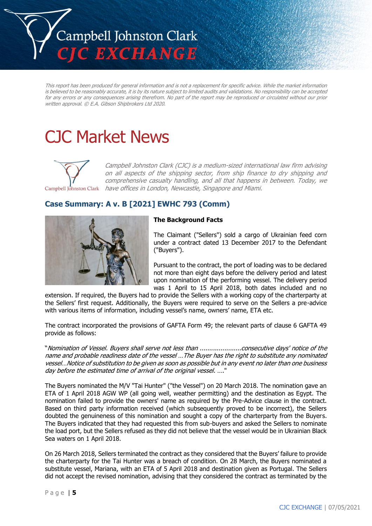

This report has been produced for general information and is not a replacement for specific advice. While the market information is believed to be reasonably accurate, it is by its nature subject to limited audits and validations. No responsibility can be accepted for any errors or any consequences arising therefrom. No part of the report may be reproduced or circulated without our prior written approval. © E.A. Gibson Shipbrokers Ltd 2020.

# CJC Market News



Campbell Johnston Clark (CJC) is a medium-sized international law firm advising on all aspects of the shipping sector, from ship finance to dry shipping and comprehensive casualty handling, and all that happens in between. Today, we Campbell Johnston Clark have offices in London, Newcastle, Singapore and Miami.

**Case Summary: A v. B [2021] EWHC 793 (Comm)**

### **The Background Facts**

The Claimant ("Sellers") sold a cargo of Ukrainian feed corn under a contract dated 13 December 2017 to the Defendant ("Buyers").

Pursuant to the contract, the port of loading was to be declared not more than eight days before the delivery period and latest upon nomination of the performing vessel. The delivery period was 1 April to 15 April 2018, both dates included and no

extension. If required, the Buyers had to provide the Sellers with a working copy of the charterparty at the Sellers' first request. Additionally, the Buyers were required to serve on the Sellers a pre-advice with various items of information, including vessel's name, owners' name, ETA etc.

The contract incorporated the provisions of GAFTA Form 49; the relevant parts of clause 6 GAFTA 49 provide as follows:

"Nomination of Vessel. Buyers shall serve not less than ......................consecutive days' notice of the name and probable readiness date of the vessel …The Buyer has the right to substitute any nominated vessel…Notice of substitution to be given as soon as possible but in any event no later than one business day before the estimated time of arrival of the original vessel. …."

The Buyers nominated the M/V "Tai Hunter" ("the Vessel") on 20 March 2018. The nomination gave an ETA of 1 April 2018 AGW WP (all going well, weather permitting) and the destination as Egypt. The nomination failed to provide the owners' name as required by the Pre-Advice clause in the contract. Based on third party information received (which subsequently proved to be incorrect), the Sellers doubted the genuineness of this nomination and sought a copy of the charterparty from the Buyers. The Buyers indicated that they had requested this from sub-buyers and asked the Sellers to nominate the load port, but the Sellers refused as they did not believe that the vessel would be in Ukrainian Black Sea waters on 1 April 2018.

On 26 March 2018, Sellers terminated the contract as they considered that the Buyers' failure to provide the charterparty for the Tai Hunter was a breach of condition. On 28 March, the Buyers nominated a substitute vessel, Mariana, with an ETA of 5 April 2018 and destination given as Portugal. The Sellers did not accept the revised nomination, advising that they considered the contract as terminated by the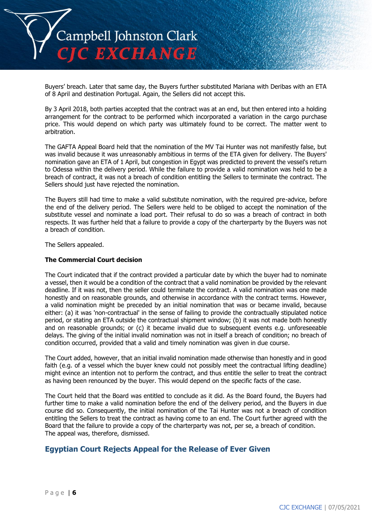

Buyers' breach. Later that same day, the Buyers further substituted Mariana with Deribas with an ETA of 8 April and destination Portugal. Again, the Sellers did not accept this.

By 3 April 2018, both parties accepted that the contract was at an end, but then entered into a holding arrangement for the contract to be performed which incorporated a variation in the cargo purchase price. This would depend on which party was ultimately found to be correct. The matter went to arbitration.

The GAFTA Appeal Board held that the nomination of the MV Tai Hunter was not manifestly false, but was invalid because it was unreasonably ambitious in terms of the ETA given for delivery. The Buyers' nomination gave an ETA of 1 April, but congestion in Egypt was predicted to prevent the vessel's return to Odessa within the delivery period. While the failure to provide a valid nomination was held to be a breach of contract, it was not a breach of condition entitling the Sellers to terminate the contract. The Sellers should just have rejected the nomination.

The Buyers still had time to make a valid substitute nomination, with the required pre-advice, before the end of the delivery period. The Sellers were held to be obliged to accept the nomination of the substitute vessel and nominate a load port. Their refusal to do so was a breach of contract in both respects. It was further held that a failure to provide a copy of the charterparty by the Buyers was not a breach of condition.

The Sellers appealed.

#### **The Commercial Court decision**

The Court indicated that if the contract provided a particular date by which the buyer had to nominate a vessel, then it would be a condition of the contract that a valid nomination be provided by the relevant deadline. If it was not, then the seller could terminate the contract. A valid nomination was one made honestly and on reasonable grounds, and otherwise in accordance with the contract terms. However, a valid nomination might be preceded by an initial nomination that was or became invalid, because either: (a) it was 'non-contractual' in the sense of failing to provide the contractually stipulated notice period, or stating an ETA outside the contractual shipment window; (b) it was not made both honestly and on reasonable grounds; or (c) it became invalid due to subsequent events e.g. unforeseeable delays. The giving of the initial invalid nomination was not in itself a breach of condition; no breach of condition occurred, provided that a valid and timely nomination was given in due course.

The Court added, however, that an initial invalid nomination made otherwise than honestly and in good faith (e.g. of a vessel which the buyer knew could not possibly meet the contractual lifting deadline) might evince an intention not to perform the contract, and thus entitle the seller to treat the contract as having been renounced by the buyer. This would depend on the specific facts of the case.

The Court held that the Board was entitled to conclude as it did. As the Board found, the Buyers had further time to make a valid nomination before the end of the delivery period, and the Buyers in due course did so. Consequently, the initial nomination of the Tai Hunter was not a breach of condition entitling the Sellers to treat the contract as having come to an end. The Court further agreed with the Board that the failure to provide a copy of the charterparty was not, per se, a breach of condition. The appeal was, therefore, dismissed.

# **Egyptian Court Rejects Appeal for the Release of Ever Given**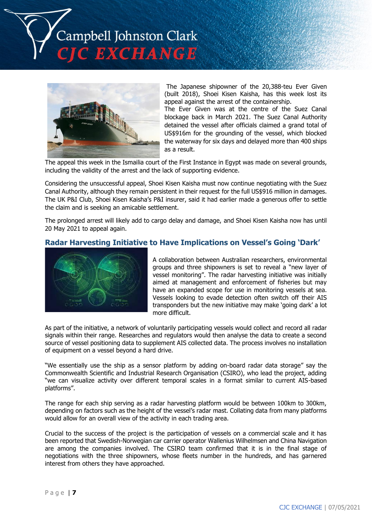



The Japanese shipowner of the 20,388-teu Ever Given (built 2018), Shoei Kisen Kaisha, has this week lost its appeal against the arrest of the containership.

The Ever Given was at the centre of the Suez Canal blockage back in March 2021. The Suez Canal Authority detained the vessel after officials claimed a grand total of US\$916m for the grounding of the vessel, which blocked the waterway for six days and delayed more than 400 ships as a result.

The appeal this week in the Ismailia court of the First Instance in Egypt was made on several grounds, including the validity of the arrest and the lack of supporting evidence.

Considering the unsuccessful appeal, Shoei Kisen Kaisha must now continue negotiating with the Suez Canal Authority, although they remain persistent in their request for the full US\$916 million in damages. The UK P&I Club, Shoei Kisen Kaisha's P&I insurer, said it had earlier made a generous offer to settle the claim and is seeking an amicable settlement.

The prolonged arrest will likely add to cargo delay and damage, and Shoei Kisen Kaisha now has until 20 May 2021 to appeal again.

# **Radar Harvesting Initiative to Have Implications on Vessel's Going 'Dark'**



A collaboration between Australian researchers, environmental groups and three shipowners is set to reveal a "new layer of vessel monitoring". The radar harvesting initiative was initially aimed at management and enforcement of fisheries but may have an expanded scope for use in monitoring vessels at sea. Vessels looking to evade detection often switch off their AIS transponders but the new initiative may make 'going dark' a lot more difficult.

As part of the initiative, a network of voluntarily participating vessels would collect and record all radar signals within their range. Researches and regulators would then analyse the data to create a second source of vessel positioning data to supplement AIS collected data. The process involves no installation of equipment on a vessel beyond a hard drive.

"We essentially use the ship as a sensor platform by adding on-board radar data storage" say the Commonwealth Scientific and Industrial Research Organisation (CSIRO), who lead the project, adding "we can visualize activity over different temporal scales in a format similar to current AIS-based platforms".

The range for each ship serving as a radar harvesting platform would be between 100km to 300km, depending on factors such as the height of the vessel's radar mast. Collating data from many platforms would allow for an overall view of the activity in each trading area.

Crucial to the success of the project is the participation of vessels on a commercial scale and it has been reported that Swedish-Norwegian car carrier operator Wallenius Wilhelmsen and China Navigation are among the companies involved. The CSIRO team confirmed that it is in the final stage of negotiations with the three shipowners, whose fleets number in the hundreds, and has garnered interest from others they have approached.